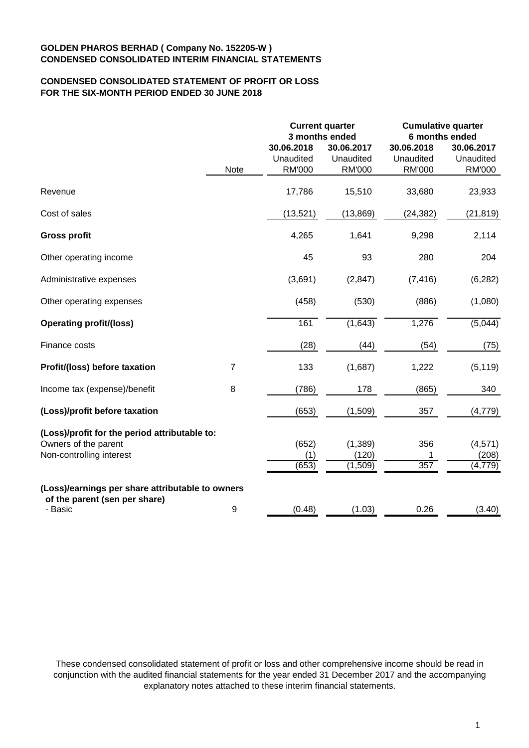# **CONDENSED CONSOLIDATED STATEMENT OF PROFIT OR LOSS FOR THE SIX-MONTH PERIOD ENDED 30 JUNE 2018**

|                                                                                                   | <b>Current quarter</b><br>3 months ended |                                          | <b>Cumulative quarter</b><br>6 months ended |                                          |                                   |
|---------------------------------------------------------------------------------------------------|------------------------------------------|------------------------------------------|---------------------------------------------|------------------------------------------|-----------------------------------|
|                                                                                                   | Note                                     | 30.06.2018<br>Unaudited<br><b>RM'000</b> | 30.06.2017<br>Unaudited<br><b>RM'000</b>    | 30.06.2018<br>Unaudited<br><b>RM'000</b> | 30.06.2017<br>Unaudited<br>RM'000 |
| Revenue                                                                                           |                                          | 17,786                                   | 15,510                                      | 33,680                                   | 23,933                            |
| Cost of sales                                                                                     |                                          | (13,521)                                 | (13, 869)                                   | (24, 382)                                | (21, 819)                         |
| <b>Gross profit</b>                                                                               |                                          | 4,265                                    | 1,641                                       | 9,298                                    | 2,114                             |
| Other operating income                                                                            |                                          | 45                                       | 93                                          | 280                                      | 204                               |
| Administrative expenses                                                                           |                                          | (3,691)                                  | (2, 847)                                    | (7, 416)                                 | (6, 282)                          |
| Other operating expenses                                                                          |                                          | (458)                                    | (530)                                       | (886)                                    | (1,080)                           |
| <b>Operating profit/(loss)</b>                                                                    |                                          | 161                                      | (1,643)                                     | 1,276                                    | (5,044)                           |
| Finance costs                                                                                     |                                          | (28)                                     | (44)                                        | (54)                                     | (75)                              |
| Profit/(loss) before taxation                                                                     | $\overline{7}$                           | 133                                      | (1,687)                                     | 1,222                                    | (5, 119)                          |
| Income tax (expense)/benefit                                                                      | 8                                        | (786)                                    | 178                                         | (865)                                    | 340                               |
| (Loss)/profit before taxation                                                                     |                                          | (653)                                    | (1,509)                                     | 357                                      | (4,779)                           |
| (Loss)/profit for the period attributable to:<br>Owners of the parent<br>Non-controlling interest |                                          | (652)<br>(1)<br>(653)                    | (1, 389)<br>(120)<br>(1,509)                | 356<br>$\overline{357}$                  | (4,571)<br>(208)<br>(4, 779)      |
| (Loss)/earnings per share attributable to owners<br>of the parent (sen per share)<br>- Basic      | 9                                        | (0.48)                                   | (1.03)                                      | 0.26                                     | (3.40)                            |

These condensed consolidated statement of profit or loss and other comprehensive income should be read in conjunction with the audited financial statements for the year ended 31 December 2017 and the accompanying explanatory notes attached to these interim financial statements.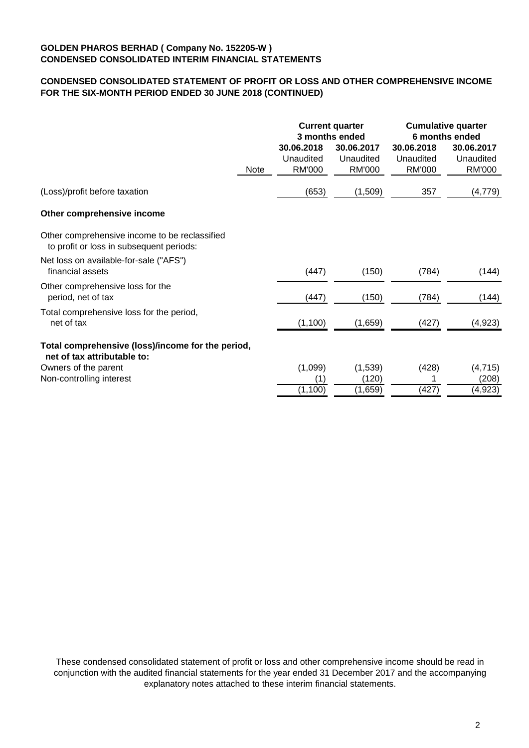# **CONDENSED CONSOLIDATED STATEMENT OF PROFIT OR LOSS AND OTHER COMPREHENSIVE INCOME FOR THE SIX-MONTH PERIOD ENDED 30 JUNE 2018 (CONTINUED)**

|                                                                                           |      | <b>Current quarter</b><br>3 months ended |               | <b>Cumulative quarter</b><br>6 months ended |               |
|-------------------------------------------------------------------------------------------|------|------------------------------------------|---------------|---------------------------------------------|---------------|
|                                                                                           |      | 30.06.2018                               | 30.06.2017    | 30.06.2018                                  | 30.06.2017    |
|                                                                                           |      | Unaudited                                | Unaudited     | Unaudited                                   | Unaudited     |
|                                                                                           | Note | <b>RM'000</b>                            | <b>RM'000</b> | <b>RM'000</b>                               | <b>RM'000</b> |
| (Loss)/profit before taxation                                                             |      | (653)                                    | (1,509)       | 357                                         | (4, 779)      |
| Other comprehensive income                                                                |      |                                          |               |                                             |               |
| Other comprehensive income to be reclassified<br>to profit or loss in subsequent periods: |      |                                          |               |                                             |               |
| Net loss on available-for-sale ("AFS")<br>financial assets                                |      | (447)                                    | (150)         | (784)                                       | (144)         |
| Other comprehensive loss for the<br>period, net of tax                                    |      | (447)                                    | (150)         | (784)                                       | (144)         |
| Total comprehensive loss for the period,<br>net of tax                                    |      | (1, 100)                                 | (1,659)       | (427)                                       | (4,923)       |
| Total comprehensive (loss)/income for the period,<br>net of tax attributable to:          |      |                                          |               |                                             |               |
| Owners of the parent                                                                      |      | (1,099)                                  | (1,539)       | (428)                                       | (4, 715)      |
| Non-controlling interest                                                                  |      | (1)                                      | (120)         |                                             | (208)         |
|                                                                                           |      | (1,100)                                  | (1,659)       | (427)                                       | (4, 923)      |

These condensed consolidated statement of profit or loss and other comprehensive income should be read in conjunction with the audited financial statements for the year ended 31 December 2017 and the accompanying explanatory notes attached to these interim financial statements.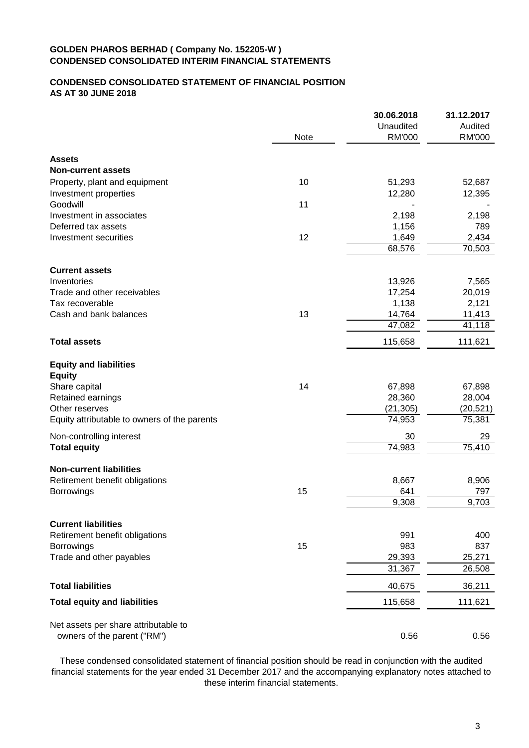# **CONDENSED CONSOLIDATED STATEMENT OF FINANCIAL POSITION AS AT 30 JUNE 2018**

|                                                |      | 30.06.2018    | 31.12.2017 |
|------------------------------------------------|------|---------------|------------|
|                                                |      | Unaudited     | Audited    |
|                                                | Note | <b>RM'000</b> | RM'000     |
| <b>Assets</b>                                  |      |               |            |
| <b>Non-current assets</b>                      |      |               |            |
| Property, plant and equipment                  | 10   | 51,293        | 52,687     |
| Investment properties                          |      | 12,280        | 12,395     |
| Goodwill                                       | 11   |               |            |
| Investment in associates                       |      | 2,198         | 2,198      |
| Deferred tax assets                            |      | 1,156         | 789        |
| Investment securities                          | 12   | 1,649         | 2,434      |
|                                                |      | 68,576        | 70,503     |
| <b>Current assets</b>                          |      |               |            |
| Inventories                                    |      | 13,926        | 7,565      |
| Trade and other receivables                    |      | 17,254        | 20,019     |
| Tax recoverable                                |      | 1,138         | 2,121      |
| Cash and bank balances                         | 13   | 14,764        | 11,413     |
|                                                |      | 47,082        | 41,118     |
| <b>Total assets</b>                            |      | 115,658       | 111,621    |
|                                                |      |               |            |
| <b>Equity and liabilities</b><br><b>Equity</b> |      |               |            |
| Share capital                                  | 14   | 67,898        | 67,898     |
| Retained earnings                              |      | 28,360        | 28,004     |
| Other reserves                                 |      | (21, 305)     | (20, 521)  |
| Equity attributable to owners of the parents   |      | 74,953        | 75,381     |
| Non-controlling interest                       |      | 30            | 29         |
| <b>Total equity</b>                            |      | 74,983        | 75,410     |
| <b>Non-current liabilities</b>                 |      |               |            |
| Retirement benefit obligations                 |      | 8,667         | 8,906      |
| <b>Borrowings</b>                              | 15   | 641           | 797        |
|                                                |      | 9,308         | 9,703      |
|                                                |      |               |            |
| <b>Current liabilities</b>                     |      |               |            |
| Retirement benefit obligations                 |      | 991           | 400        |
| <b>Borrowings</b>                              | 15   | 983           | 837        |
| Trade and other payables                       |      | 29,393        | 25,271     |
|                                                |      | 31,367        | 26,508     |
| <b>Total liabilities</b>                       |      | 40,675        | 36,211     |
| <b>Total equity and liabilities</b>            |      | 115,658       | 111,621    |
| Net assets per share attributable to           |      |               |            |
| owners of the parent ("RM")                    |      | 0.56          | 0.56       |
|                                                |      |               |            |

These condensed consolidated statement of financial position should be read in conjunction with the audited financial statements for the year ended 31 December 2017 and the accompanying explanatory notes attached to these interim financial statements.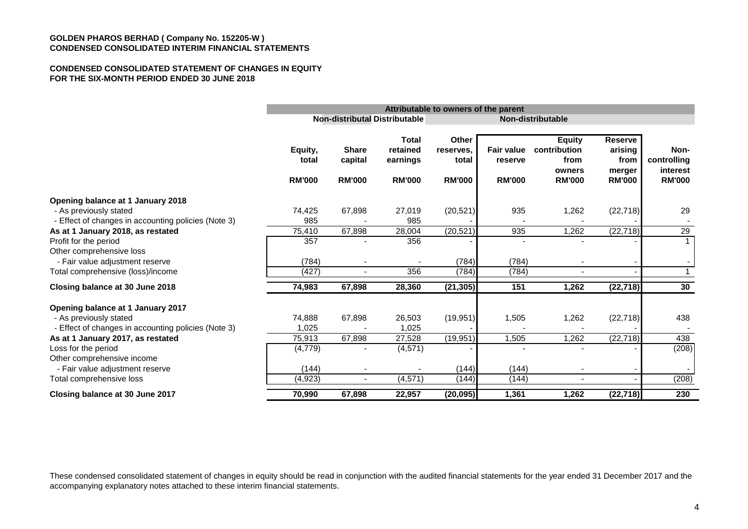#### **CONDENSED CONSOLIDATED STATEMENT OF CHANGES IN EQUITY FOR THE SIX-MONTH PERIOD ENDED 30 JUNE 2018**

|                                                                               | Attributable to owners of the parent |                                          |                                                |                                                     |                                               |                                                                  |                                                              |                                                  |
|-------------------------------------------------------------------------------|--------------------------------------|------------------------------------------|------------------------------------------------|-----------------------------------------------------|-----------------------------------------------|------------------------------------------------------------------|--------------------------------------------------------------|--------------------------------------------------|
|                                                                               |                                      |                                          | Non-distributal Distributable                  | Non-distributable                                   |                                               |                                                                  |                                                              |                                                  |
|                                                                               | Equity,<br>total<br><b>RM'000</b>    | <b>Share</b><br>capital<br><b>RM'000</b> | Total<br>retained<br>earnings<br><b>RM'000</b> | <b>Other</b><br>reserves.<br>total<br><b>RM'000</b> | <b>Fair value</b><br>reserve<br><b>RM'000</b> | <b>Equity</b><br>contribution<br>from<br>owners<br><b>RM'000</b> | <b>Reserve</b><br>arising<br>from<br>merger<br><b>RM'000</b> | Non-<br>controlling<br>interest<br><b>RM'000</b> |
| Opening balance at 1 January 2018                                             |                                      |                                          |                                                |                                                     |                                               |                                                                  |                                                              |                                                  |
| - As previously stated<br>- Effect of changes in accounting policies (Note 3) | 74,425<br>985                        | 67,898                                   | 27,019<br>985                                  | (20, 521)                                           | 935                                           | 1,262                                                            | (22, 718)                                                    | 29                                               |
| As at 1 January 2018, as restated                                             | 75,410                               | 67,898                                   | 28,004                                         | (20, 521)                                           | 935                                           | 1,262                                                            | (22, 718)                                                    | 29                                               |
| Profit for the period                                                         | 357                                  |                                          | 356                                            |                                                     |                                               |                                                                  |                                                              |                                                  |
| Other comprehensive loss<br>- Fair value adjustment reserve                   | (784)                                |                                          |                                                | (784)                                               | (784)                                         |                                                                  |                                                              |                                                  |
| Total comprehensive (loss)/income                                             | (427)                                |                                          | 356                                            | (784)                                               | (784)                                         |                                                                  |                                                              | $\mathbf{1}$                                     |
| Closing balance at 30 June 2018                                               | 74,983                               | 67,898                                   | 28,360                                         | (21, 305)                                           | 151                                           | 1,262                                                            | (22, 718)                                                    | 30                                               |
| Opening balance at 1 January 2017                                             |                                      |                                          |                                                |                                                     |                                               |                                                                  |                                                              |                                                  |
| - As previously stated                                                        | 74,888                               | 67,898                                   | 26,503                                         | (19, 951)                                           | 1,505                                         | 1,262                                                            | (22, 718)                                                    | 438                                              |
| - Effect of changes in accounting policies (Note 3)                           | 1.025                                |                                          | 1,025                                          |                                                     |                                               |                                                                  |                                                              |                                                  |
| As at 1 January 2017, as restated                                             | 75,913                               | 67,898                                   | 27,528                                         | (19, 951)                                           | 1,505                                         | 1,262                                                            | (22, 718)                                                    | 438                                              |
| Loss for the period<br>Other comprehensive income                             | (4, 779)                             |                                          | (4, 571)                                       |                                                     |                                               |                                                                  |                                                              | (208)                                            |
| - Fair value adjustment reserve                                               | (144)                                |                                          |                                                | (144)                                               | (144)                                         |                                                                  |                                                              |                                                  |
| Total comprehensive loss                                                      | (4,923)                              | $\blacksquare$                           | (4, 571)                                       | (144)                                               | (144)                                         | $\overline{\phantom{a}}$                                         |                                                              | (208)                                            |
| Closing balance at 30 June 2017                                               | 70,990                               | 67,898                                   | 22,957                                         | (20, 095)                                           | 1,361                                         | 1,262                                                            | (22, 718)                                                    | 230                                              |

These condensed consolidated statement of changes in equity should be read in conjunction with the audited financial statements for the year ended 31 December 2017 and the accompanying explanatory notes attached to these interim financial statements.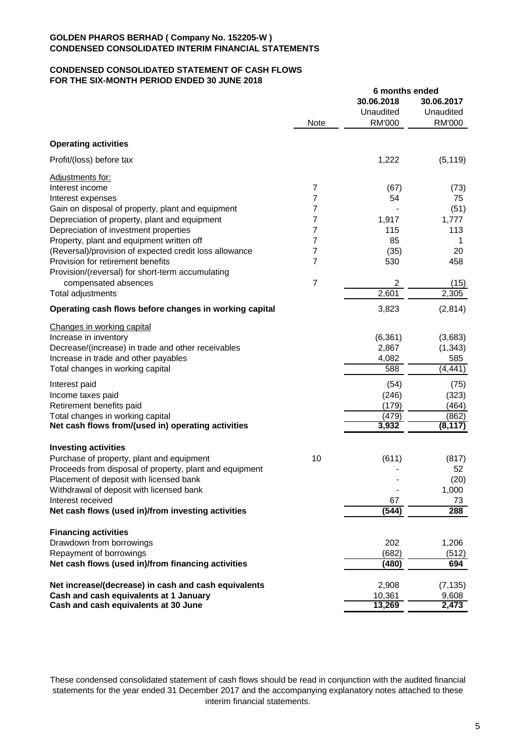### **CONDENSED CONSOLIDATED STATEMENT OF CASH FLOWS FOR THE SIX-MONTH PERIOD ENDED 30 JUNE 2018**

|                                                                                |                | 6 months ended   |                |
|--------------------------------------------------------------------------------|----------------|------------------|----------------|
|                                                                                |                | 30.06.2018       | 30.06.2017     |
|                                                                                |                | Unaudited        | Unaudited      |
|                                                                                | <b>Note</b>    | <b>RM'000</b>    | RM'000         |
| <b>Operating activities</b>                                                    |                |                  |                |
| Profit/(loss) before tax                                                       |                | 1,222            | (5, 119)       |
| Adjustments for:                                                               |                |                  |                |
| Interest income                                                                | 7              | (67)             | (73)           |
| Interest expenses                                                              | 7              | 54               | 75             |
| Gain on disposal of property, plant and equipment                              | 7              |                  | (51)           |
| Depreciation of property, plant and equipment                                  | 7              | 1,917            | 1,777          |
| Depreciation of investment properties                                          | 7              | 115              | 113            |
|                                                                                |                |                  |                |
| Property, plant and equipment written off                                      | 7              | 85               | 1              |
| (Reversal)/provision of expected credit loss allowance                         | 7              | (35)             | 20             |
| Provision for retirement benefits                                              | 7              | 530              | 458            |
| Provision/(reversal) for short-term accumulating                               |                |                  |                |
| compensated absences                                                           | $\overline{7}$ | 2                | (15)           |
| Total adjustments                                                              |                | 2,601            | 2,305          |
| Operating cash flows before changes in working capital                         |                | 3,823            | (2,814)        |
| Changes in working capital                                                     |                |                  |                |
| Increase in inventory                                                          |                | (6, 361)         | (3,683)        |
| Decrease/(increase) in trade and other receivables                             |                | 2,867            | (1, 343)       |
| Increase in trade and other payables                                           |                | 4,082            | 585            |
| Total changes in working capital                                               |                | 588              | (4, 441)       |
| Interest paid                                                                  |                | (54)             | (75)           |
| Income taxes paid                                                              |                | (246)            | (323)          |
| Retirement benefits paid                                                       |                | (179)            | (464)          |
| Total changes in working capital                                               |                | (479)            | (862)          |
| Net cash flows from/(used in) operating activities                             |                | 3,932            | (8, 117)       |
|                                                                                |                |                  |                |
| <b>Investing activities</b>                                                    |                |                  |                |
| Purchase of property, plant and equipment                                      | 10             | (611)            | (817)          |
| Proceeds from disposal of property, plant and equipment                        |                |                  | 52             |
| Placement of deposit with licensed bank                                        |                |                  | (20)           |
| Withdrawal of deposit with licensed bank                                       |                |                  | 1,000          |
| Interest received                                                              |                | 67               | 73             |
| Net cash flows (used in)/from investing activities                             |                | (544)            | 288            |
| <b>Financing activities</b>                                                    |                |                  |                |
| Drawdown from borrowings                                                       |                | 202              | 1,206          |
| Repayment of borrowings                                                        |                | (682)            | (512)          |
| Net cash flows (used in)/from financing activities                             |                | (480)            | 694            |
| Net increase/(decrease) in cash and cash equivalents                           |                | 2,908            | (7, 135)       |
|                                                                                |                |                  |                |
| Cash and cash equivalents at 1 January<br>Cash and cash equivalents at 30 June |                | 10,361<br>13,269 | 9,608<br>2,473 |
|                                                                                |                |                  |                |

These condensed consolidated statement of cash flows should be read in conjunction with the audited financial statements for the year ended 31 December 2017 and the accompanying explanatory notes attached to these interim financial statements.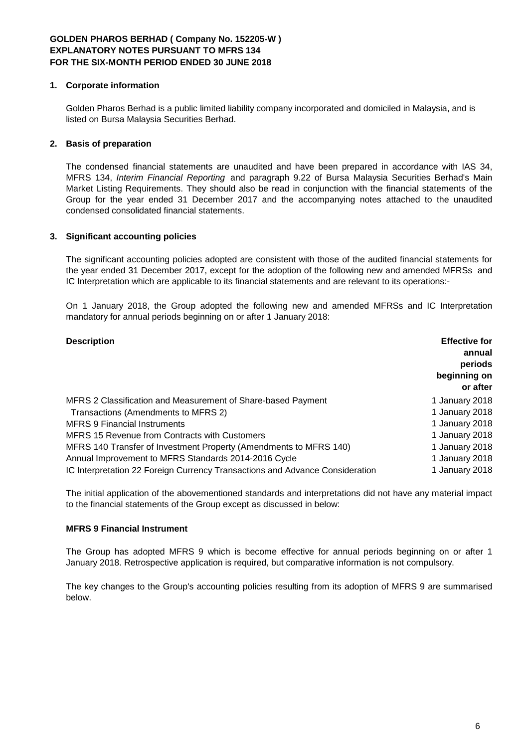### **1. Corporate information**

Golden Pharos Berhad is a public limited liability company incorporated and domiciled in Malaysia, and is listed on Bursa Malaysia Securities Berhad.

# **2. Basis of preparation**

The condensed financial statements are unaudited and have been prepared in accordance with IAS 34, MFRS 134, *Interim Financial Reporting* and paragraph 9.22 of Bursa Malaysia Securities Berhad's Main Market Listing Requirements. They should also be read in conjunction with the financial statements of the Group for the year ended 31 December 2017 and the accompanying notes attached to the unaudited condensed consolidated financial statements.

### **3. Significant accounting policies**

The significant accounting policies adopted are consistent with those of the audited financial statements for the year ended 31 December 2017, except for the adoption of the following new and amended MFRSs and IC Interpretation which are applicable to its financial statements and are relevant to its operations:-

On 1 January 2018, the Group adopted the following new and amended MFRSs and IC Interpretation mandatory for annual periods beginning on or after 1 January 2018:

| <b>Description</b>                                                           | <b>Effective for</b><br>annual<br>periods<br>beginning on<br>or after |
|------------------------------------------------------------------------------|-----------------------------------------------------------------------|
| MFRS 2 Classification and Measurement of Share-based Payment                 | 1 January 2018                                                        |
| Transactions (Amendments to MFRS 2)                                          | 1 January 2018                                                        |
| <b>MFRS 9 Financial Instruments</b>                                          | 1 January 2018                                                        |
| MFRS 15 Revenue from Contracts with Customers                                | 1 January 2018                                                        |
| MFRS 140 Transfer of Investment Property (Amendments to MFRS 140)            | 1 January 2018                                                        |
| Annual Improvement to MFRS Standards 2014-2016 Cycle                         | 1 January 2018                                                        |
| IC Interpretation 22 Foreign Currency Transactions and Advance Consideration | 1 January 2018                                                        |

The initial application of the abovementioned standards and interpretations did not have any material impact to the financial statements of the Group except as discussed in below:

### **MFRS 9 Financial Instrument**

The Group has adopted MFRS 9 which is become effective for annual periods beginning on or after 1 January 2018. Retrospective application is required, but comparative information is not compulsory.

The key changes to the Group's accounting policies resulting from its adoption of MFRS 9 are summarised below.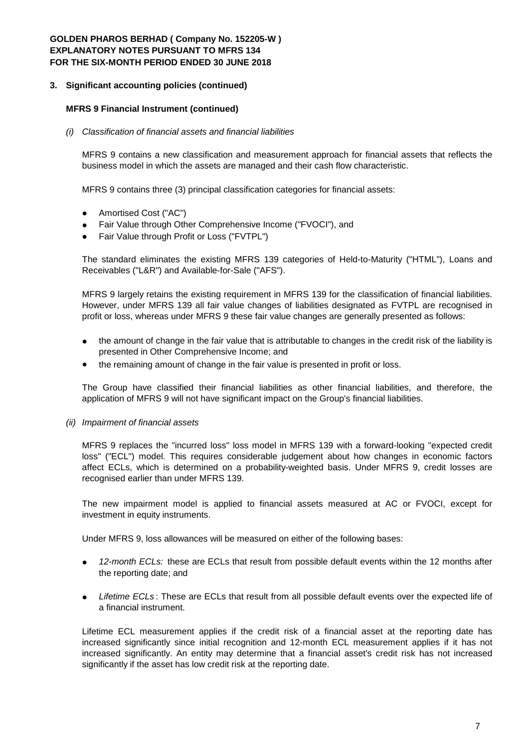#### **3. Significant accounting policies (continued)**

#### **MFRS 9 Financial Instrument (continued)**

#### *(i) Classification of financial assets and financial liabilities*

MFRS 9 contains a new classification and measurement approach for financial assets that reflects the business model in which the assets are managed and their cash flow characteristic.

MFRS 9 contains three (3) principal classification categories for financial assets:

- Amortised Cost ("AC")
- Fair Value through Other Comprehensive Income ("FVOCI"), and
- Fair Value through Profit or Loss ("FVTPL")

The standard eliminates the existing MFRS 139 categories of Held-to-Maturity ("HTML"), Loans and Receivables ("L&R") and Available-for-Sale ("AFS").

MFRS 9 largely retains the existing requirement in MFRS 139 for the classification of financial liabilities. However, under MFRS 139 all fair value changes of liabilities designated as FVTPL are recognised in profit or loss, whereas under MFRS 9 these fair value changes are generally presented as follows:

- the amount of change in the fair value that is attributable to changes in the credit risk of the liability is presented in Other Comprehensive Income; and
- the remaining amount of change in the fair value is presented in profit or loss.

The Group have classified their financial liabilities as other financial liabilities, and therefore, the application of MFRS 9 will not have significant impact on the Group's financial liabilities.

*(ii) Impairment of financial assets*

MFRS 9 replaces the "incurred loss" loss model in MFRS 139 with a forward-looking "expected credit loss" ("ECL") model. This requires considerable judgement about how changes in economic factors affect ECLs, which is determined on a probability-weighted basis. Under MFRS 9, credit losses are recognised earlier than under MFRS 139.

The new impairment model is applied to financial assets measured at AC or FVOCI, except for investment in equity instruments.

Under MFRS 9, loss allowances will be measured on either of the following bases:

- *12-month ECLs:* these are ECLs that result from possible default events within the 12 months after the reporting date; and
- *Lifetime ECLs* : These are ECLs that result from all possible default events over the expected life of a financial instrument.

Lifetime ECL measurement applies if the credit risk of a financial asset at the reporting date has increased significantly since initial recognition and 12-month ECL measurement applies if it has not increased significantly. An entity may determine that a financial asset's credit risk has not increased significantly if the asset has low credit risk at the reporting date.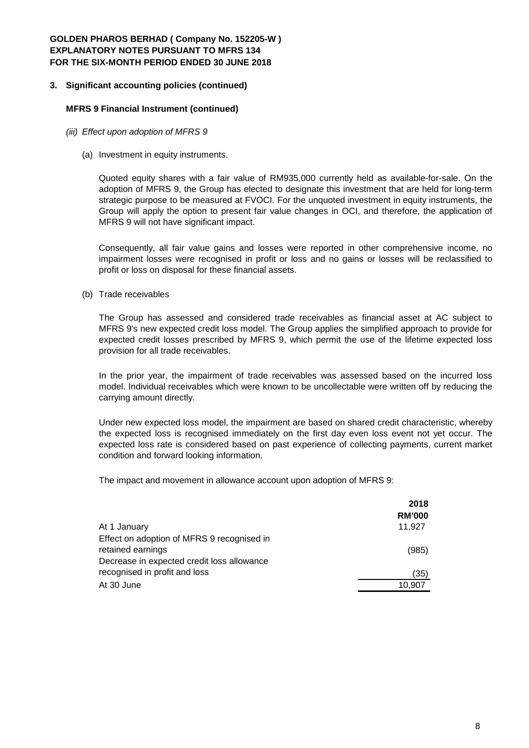#### **3. Significant accounting policies (continued)**

#### **MFRS 9 Financial Instrument (continued)**

- *(iii) Effect upon adoption of MFRS 9*
	- (a) Investment in equity instruments.

Quoted equity shares with a fair value of RM935,000 currently held as available-for-sale. On the adoption of MFRS 9, the Group has elected to designate this investment that are held for long-term strategic purpose to be measured at FVOCI. For the unquoted investment in equity instruments, the Group will apply the option to present fair value changes in OCI, and therefore, the application of MFRS 9 will not have significant impact.

Consequently, all fair value gains and losses were reported in other comprehensive income, no impairment losses were recognised in profit or loss and no gains or losses will be reclassified to profit or loss on disposal for these financial assets.

(b) Trade receivables

The Group has assessed and considered trade receivables as financial asset at AC subject to MFRS 9's new expected credit loss model. The Group applies the simplified approach to provide for expected credit losses prescribed by MFRS 9, which permit the use of the lifetime expected loss provision for all trade receivables.

In the prior year, the impairment of trade receivables was assessed based on the incurred loss model. Individual receivables which were known to be uncollectable were written off by reducing the carrying amount directly.

Under new expected loss model, the impairment are based on shared credit characteristic, whereby the expected loss is recognised immediately on the first day even loss event not yet occur. The expected loss rate is considered based on past experience of collecting payments, current market condition and forward looking information.

The impact and movement in allowance account upon adoption of MFRS 9:

|                                            | 2018          |
|--------------------------------------------|---------------|
|                                            | <b>RM'000</b> |
| At 1 January                               | 11.927        |
| Effect on adoption of MFRS 9 recognised in |               |
| retained earnings                          | (985)         |
| Decrease in expected credit loss allowance |               |
| recognised in profit and loss              | (35)          |
| At 30 June                                 | 10.907        |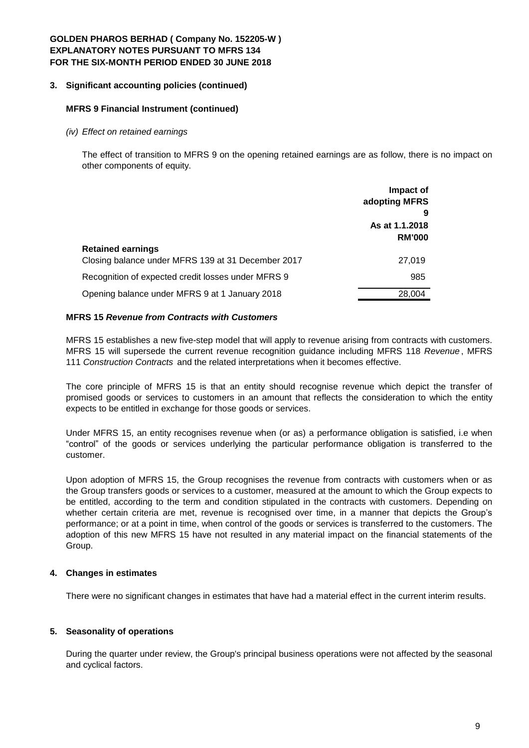#### **3. Significant accounting policies (continued)**

#### **MFRS 9 Financial Instrument (continued)**

*(iv) Effect on retained earnings*

The effect of transition to MFRS 9 on the opening retained earnings are as follow, there is no impact on other components of equity.

|                                                    | Impact of<br>adopting MFRS      |
|----------------------------------------------------|---------------------------------|
|                                                    |                                 |
|                                                    | As at 1.1.2018<br><b>RM'000</b> |
| <b>Retained earnings</b>                           |                                 |
| Closing balance under MFRS 139 at 31 December 2017 | 27,019                          |
| Recognition of expected credit losses under MFRS 9 | 985                             |
| Opening balance under MFRS 9 at 1 January 2018     | 28,004                          |

#### **MFRS 15** *Revenue from Contracts with Customers*

MFRS 15 establishes a new five-step model that will apply to revenue arising from contracts with customers. MFRS 15 will supersede the current revenue recognition guidance including MFRS 118 *Revenue* , MFRS 111 *Construction Contracts* and the related interpretations when it becomes effective.

The core principle of MFRS 15 is that an entity should recognise revenue which depict the transfer of promised goods or services to customers in an amount that reflects the consideration to which the entity expects to be entitled in exchange for those goods or services.

Under MFRS 15, an entity recognises revenue when (or as) a performance obligation is satisfied, i.e when "control" of the goods or services underlying the particular performance obligation is transferred to the customer.

Upon adoption of MFRS 15, the Group recognises the revenue from contracts with customers when or as the Group transfers goods or services to a customer, measured at the amount to which the Group expects to be entitled, according to the term and condition stipulated in the contracts with customers. Depending on whether certain criteria are met, revenue is recognised over time, in a manner that depicts the Group's performance; or at a point in time, when control of the goods or services is transferred to the customers. The adoption of this new MFRS 15 have not resulted in any material impact on the financial statements of the Group.

### **4. Changes in estimates**

There were no significant changes in estimates that have had a material effect in the current interim results.

### **5. Seasonality of operations**

During the quarter under review, the Group's principal business operations were not affected by the seasonal and cyclical factors.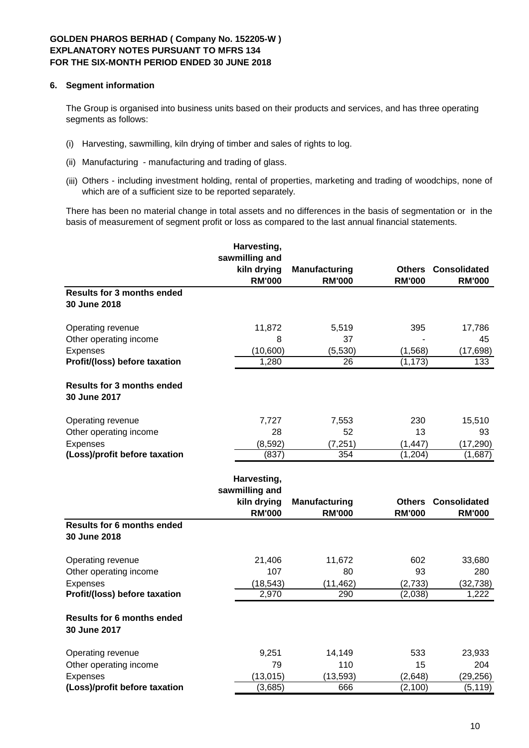### **6. Segment information**

The Group is organised into business units based on their products and services, and has three operating segments as follows:

- (i) Harvesting, sawmilling, kiln drying of timber and sales of rights to log.
- (ii) Manufacturing manufacturing and trading of glass.
- (iii) Others including investment holding, rental of properties, marketing and trading of woodchips, none of which are of a sufficient size to be reported separately.

There has been no material change in total assets and no differences in the basis of segmentation or in the basis of measurement of segment profit or loss as compared to the last annual financial statements.

|                                                   | Harvesting,<br>sawmilling and |                      |               |                            |
|---------------------------------------------------|-------------------------------|----------------------|---------------|----------------------------|
|                                                   | kiln drying                   | <b>Manufacturing</b> |               | <b>Others Consolidated</b> |
|                                                   | <b>RM'000</b>                 | <b>RM'000</b>        | <b>RM'000</b> | <b>RM'000</b>              |
| <b>Results for 3 months ended</b><br>30 June 2018 |                               |                      |               |                            |
| Operating revenue                                 | 11,872                        | 5,519                | 395           | 17,786                     |
| Other operating income                            | 8                             | 37                   |               | 45                         |
| Expenses                                          | (10,600)                      | (5,530)              | (1, 568)      | (17, 698)                  |
| Profit/(loss) before taxation                     | 1,280                         | 26                   | (1, 173)      | 133                        |
| <b>Results for 3 months ended</b><br>30 June 2017 |                               |                      |               |                            |
| Operating revenue                                 | 7,727                         | 7,553                | 230           | 15,510                     |
| Other operating income                            | 28                            | 52                   | 13            | 93                         |
| Expenses                                          | (8, 592)                      | (7, 251)             | (1, 447)      | (17, 290)                  |
| (Loss)/profit before taxation                     | (837)                         | 354                  | (1,204)       | (1,687)                    |
|                                                   | Harvesting,                   |                      |               |                            |
|                                                   | sawmilling and                |                      |               |                            |
|                                                   | kiln drying                   | <b>Manufacturing</b> | <b>Others</b> | <b>Consolidated</b>        |
|                                                   | <b>RM'000</b>                 | <b>RM'000</b>        | <b>RM'000</b> | <b>RM'000</b>              |
| <b>Results for 6 months ended</b><br>30 June 2018 |                               |                      |               |                            |
| Operating revenue                                 | 21,406                        | 11,672               | 602           | 33,680                     |
| Other operating income                            | 107                           | 80                   | 93            | 280                        |
| Expenses                                          | (18, 543)                     | (11, 462)            | (2,733)       | (32, 738)                  |
| Profit/(loss) before taxation                     | 2,970                         | 290                  | (2,038)       | 1,222                      |
| <b>Results for 6 months ended</b><br>30 June 2017 |                               |                      |               |                            |
| Operating revenue                                 | 9,251                         | 14,149               | 533           | 23,933                     |
| Other operating income                            | 79                            | 110                  | 15            | 204                        |
| Expenses                                          | (13, 015)                     | (13, 593)            | (2,648)       | (29, 256)                  |
| (Loss)/profit before taxation                     | (3,685)                       | 666                  | (2, 100)      | (5, 119)                   |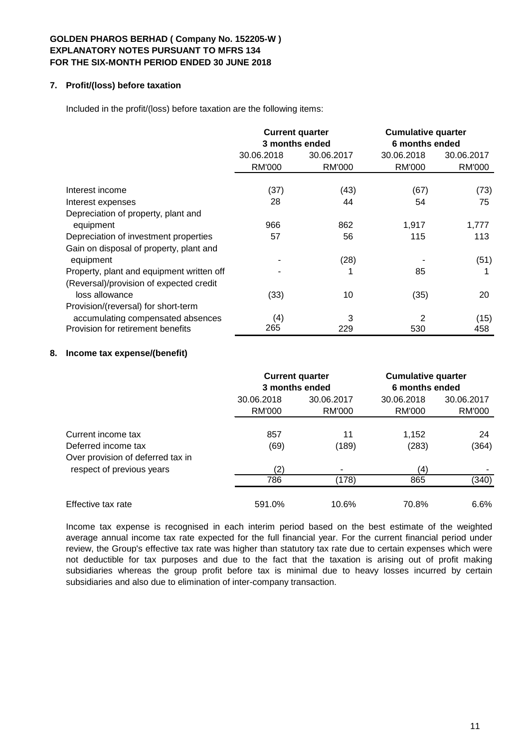### **7. Profit/(loss) before taxation**

Included in the profit/(loss) before taxation are the following items:

|                                                  |                          | <b>Current quarter</b><br>3 months ended | <b>Cumulative quarter</b><br>6 months ended |               |  |
|--------------------------------------------------|--------------------------|------------------------------------------|---------------------------------------------|---------------|--|
|                                                  | 30.06.2018<br>30.06.2017 |                                          | 30.06.2018                                  | 30.06.2017    |  |
|                                                  | <b>RM'000</b>            | <b>RM'000</b>                            | RM'000                                      | <b>RM'000</b> |  |
| Interest income                                  | (37)                     | (43)                                     | (67)                                        | (73)          |  |
| Interest expenses                                | 28                       | 44                                       | 54                                          | 75            |  |
|                                                  |                          |                                          |                                             |               |  |
| Depreciation of property, plant and<br>equipment | 966                      | 862                                      | 1,917                                       | 1,777         |  |
| Depreciation of investment properties            | 57                       | 56                                       | 115                                         | 113           |  |
| Gain on disposal of property, plant and          |                          |                                          |                                             |               |  |
| equipment                                        |                          | (28)                                     |                                             | (51)          |  |
| Property, plant and equipment written off        |                          |                                          | 85                                          |               |  |
| (Reversal)/provision of expected credit          |                          |                                          |                                             |               |  |
| loss allowance                                   | (33)                     | 10                                       | (35)                                        | 20            |  |
| Provision/(reversal) for short-term              |                          |                                          |                                             |               |  |
| accumulating compensated absences                | (4)                      | 3                                        | 2                                           | (15)          |  |
| Provision for retirement benefits                | 265                      | 229                                      | 530                                         | 458           |  |

# **8. Income tax expense/(benefit)**

|                                                          |                                                     | <b>Current quarter</b><br>3 months ended | <b>Cumulative quarter</b><br>6 months ended |                      |  |
|----------------------------------------------------------|-----------------------------------------------------|------------------------------------------|---------------------------------------------|----------------------|--|
|                                                          | 30.06.2018<br>30.06.2017<br><b>RM'000</b><br>RM'000 |                                          | 30.06.2018<br>RM'000                        | 30.06.2017<br>RM'000 |  |
| Current income tax                                       | 857                                                 | 11                                       | 1,152                                       | 24                   |  |
| Deferred income tax<br>Over provision of deferred tax in | (69)                                                | (189)                                    | (283)                                       | (364)                |  |
| respect of previous years                                | (2)                                                 |                                          | (4)                                         |                      |  |
|                                                          | 786                                                 | (178)                                    | 865                                         | (340)                |  |
| Effective tax rate                                       | 591.0%                                              | 10.6%                                    | 70.8%                                       | 6.6%                 |  |

Income tax expense is recognised in each interim period based on the best estimate of the weighted average annual income tax rate expected for the full financial year. For the current financial period under review, the Group's effective tax rate was higher than statutory tax rate due to certain expenses which were not deductible for tax purposes and due to the fact that the taxation is arising out of profit making subsidiaries whereas the group profit before tax is minimal due to heavy losses incurred by certain subsidiaries and also due to elimination of inter-company transaction.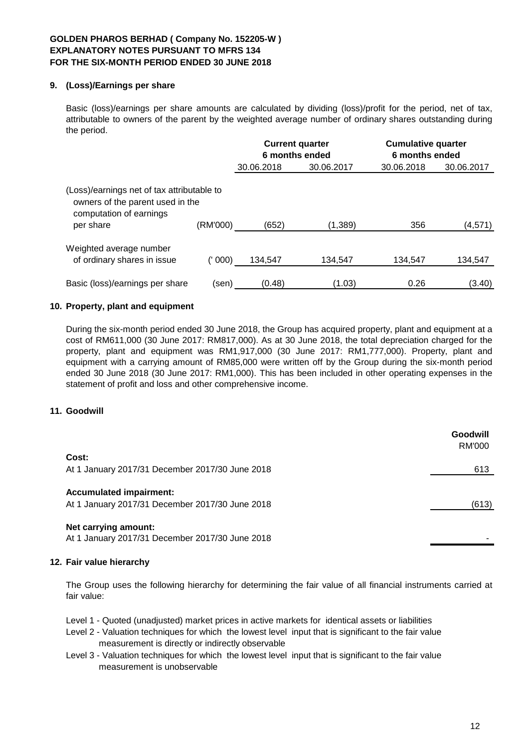# **9. (Loss)/Earnings per share**

Basic (loss)/earnings per share amounts are calculated by dividing (loss)/profit for the period, net of tax, attributable to owners of the parent by the weighted average number of ordinary shares outstanding during the period.

|                                                                                                                                    |         | <b>Current quarter</b> |            | 6 months ended |            | <b>Cumulative quarter</b><br>6 months ended |  |
|------------------------------------------------------------------------------------------------------------------------------------|---------|------------------------|------------|----------------|------------|---------------------------------------------|--|
|                                                                                                                                    |         | 30.06.2018             | 30.06.2017 | 30.06.2018     | 30.06.2017 |                                             |  |
| (Loss)/earnings net of tax attributable to<br>owners of the parent used in the<br>computation of earnings<br>(RM'000)<br>per share |         | (652)                  | (1, 389)   | 356            | (4,571)    |                                             |  |
|                                                                                                                                    |         |                        |            |                |            |                                             |  |
| Weighted average number<br>of ordinary shares in issue                                                                             | (' 000) | 134.547                | 134.547    | 134.547        | 134.547    |                                             |  |
| Basic (loss)/earnings per share                                                                                                    | (sen)   | (0.48)                 | (1.03)     | 0.26           | (3.40)     |                                             |  |

### **10. Property, plant and equipment**

During the six-month period ended 30 June 2018, the Group has acquired property, plant and equipment at a cost of RM611,000 (30 June 2017: RM817,000). As at 30 June 2018, the total depreciation charged for the property, plant and equipment was RM1,917,000 (30 June 2017: RM1,777,000). Property, plant and equipment with a carrying amount of RM85,000 were written off by the Group during the six-month period ended 30 June 2018 (30 June 2017: RM1,000). This has been included in other operating expenses in the statement of profit and loss and other comprehensive income.

#### **11. Goodwill**

|                                                                                   | Goodwill<br>RM'000 |
|-----------------------------------------------------------------------------------|--------------------|
| Cost:                                                                             |                    |
| At 1 January 2017/31 December 2017/30 June 2018                                   | 613                |
| <b>Accumulated impairment:</b><br>At 1 January 2017/31 December 2017/30 June 2018 | (613)              |
| Net carrying amount:                                                              |                    |

At 1 January 2017/31 December 2017/30 June 2018 -

### **12. Fair value hierarchy**

The Group uses the following hierarchy for determining the fair value of all financial instruments carried at fair value:

Level 1 - Quoted (unadjusted) market prices in active markets for identical assets or liabilities

- Level 2 Valuation techniques for which the lowest level input that is significant to the fair value measurement is directly or indirectly observable
- Level 3 Valuation techniques for which the lowest level input that is significant to the fair value measurement is unobservable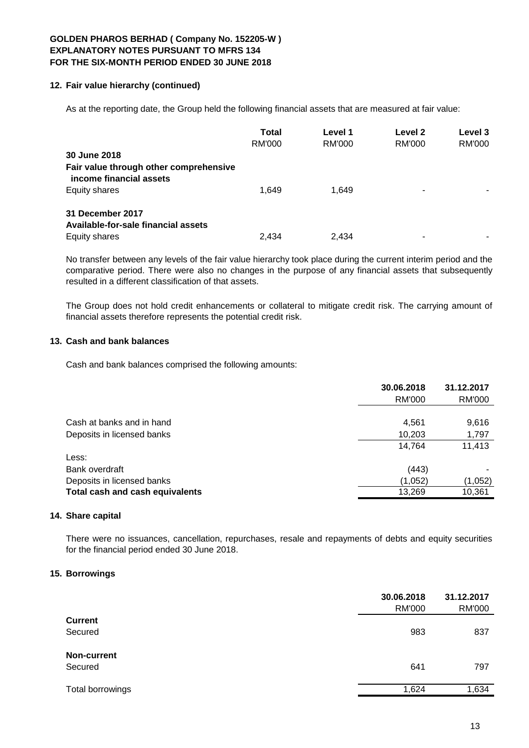### **12. Fair value hierarchy (continued)**

As at the reporting date, the Group held the following financial assets that are measured at fair value:

|                                                                   | <b>Total</b><br>RM'000 | Level 1<br>RM'000 | Level 2<br><b>RM'000</b> | Level 3<br>RM'000 |
|-------------------------------------------------------------------|------------------------|-------------------|--------------------------|-------------------|
| 30 June 2018                                                      |                        |                   |                          |                   |
| Fair value through other comprehensive<br>income financial assets |                        |                   |                          |                   |
| Equity shares                                                     | 1.649                  | 1.649             |                          |                   |
| 31 December 2017                                                  |                        |                   |                          |                   |
| Available-for-sale financial assets                               |                        |                   |                          |                   |
| Equity shares                                                     | 2.434                  | 2.434             |                          |                   |

No transfer between any levels of the fair value hierarchy took place during the current interim period and the comparative period. There were also no changes in the purpose of any financial assets that subsequently resulted in a different classification of that assets.

The Group does not hold credit enhancements or collateral to mitigate credit risk. The carrying amount of financial assets therefore represents the potential credit risk.

### **13. Cash and bank balances**

Cash and bank balances comprised the following amounts:

|                                 | 30.06.2018    | 31.12.2017 |
|---------------------------------|---------------|------------|
|                                 | <b>RM'000</b> | RM'000     |
|                                 |               |            |
| Cash at banks and in hand       | 4,561         | 9,616      |
| Deposits in licensed banks      | 10,203        | 1,797      |
|                                 | 14,764        | 11,413     |
| Less:                           |               |            |
| Bank overdraft                  | (443)         |            |
| Deposits in licensed banks      | (1,052)       | (1,052)    |
| Total cash and cash equivalents | 13,269        | 10,361     |
|                                 |               |            |

#### **14. Share capital**

There were no issuances, cancellation, repurchases, resale and repayments of debts and equity securities for the financial period ended 30 June 2018.

#### **15. Borrowings**

|                  | 30.06.2018<br><b>RM'000</b> | 31.12.2017<br><b>RM'000</b> |
|------------------|-----------------------------|-----------------------------|
| <b>Current</b>   |                             |                             |
| Secured          | 983                         | 837                         |
| Non-current      |                             |                             |
| Secured          | 641                         | 797                         |
| Total borrowings | 1,624                       | 1,634                       |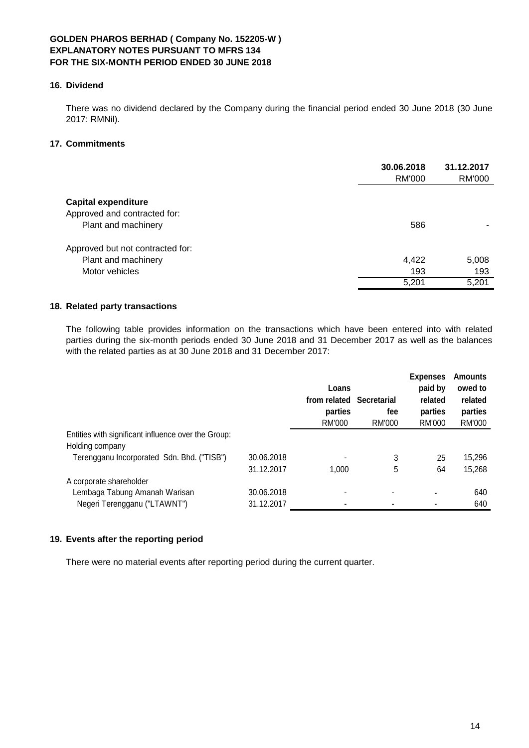### **16. Dividend**

There was no dividend declared by the Company during the financial period ended 30 June 2018 (30 June 2017: RMNil).

# **17. Commitments**

|                                                                                   | 30.06.2018<br>RM'000  | 31.12.2017<br><b>RM'000</b> |
|-----------------------------------------------------------------------------------|-----------------------|-----------------------------|
| <b>Capital expenditure</b><br>Approved and contracted for:<br>Plant and machinery | 586                   |                             |
| Approved but not contracted for:<br>Plant and machinery<br>Motor vehicles         | 4,422<br>193<br>5,201 | 5,008<br>193<br>5,201       |

# **18. Related party transactions**

The following table provides information on the transactions which have been entered into with related parties during the six-month periods ended 30 June 2018 and 31 December 2017 as well as the balances with the related parties as at 30 June 2018 and 31 December 2017:

|                                                                        |            | Loans<br>from related<br>parties<br>RM'000 | Secretarial<br>fee<br>RM'000 | <b>Expenses</b><br>paid by<br>related<br>parties<br>RM'000 | <b>Amounts</b><br>owed to<br>related<br>parties<br><b>RM'000</b> |
|------------------------------------------------------------------------|------------|--------------------------------------------|------------------------------|------------------------------------------------------------|------------------------------------------------------------------|
| Entities with significant influence over the Group:<br>Holding company |            |                                            |                              |                                                            |                                                                  |
| Terengganu Incorporated Sdn. Bhd. ("TISB")                             | 30.06.2018 |                                            | 3                            | 25                                                         | 15,296                                                           |
|                                                                        | 31.12.2017 | 1.000                                      | 5                            | 64                                                         | 15,268                                                           |
| A corporate shareholder                                                |            |                                            |                              |                                                            |                                                                  |
| Lembaga Tabung Amanah Warisan                                          | 30.06.2018 |                                            |                              |                                                            | 640                                                              |
| Negeri Terengganu ("LTAWNT")                                           | 31.12.2017 |                                            |                              |                                                            | 640                                                              |

### **19. Events after the reporting period**

There were no material events after reporting period during the current quarter.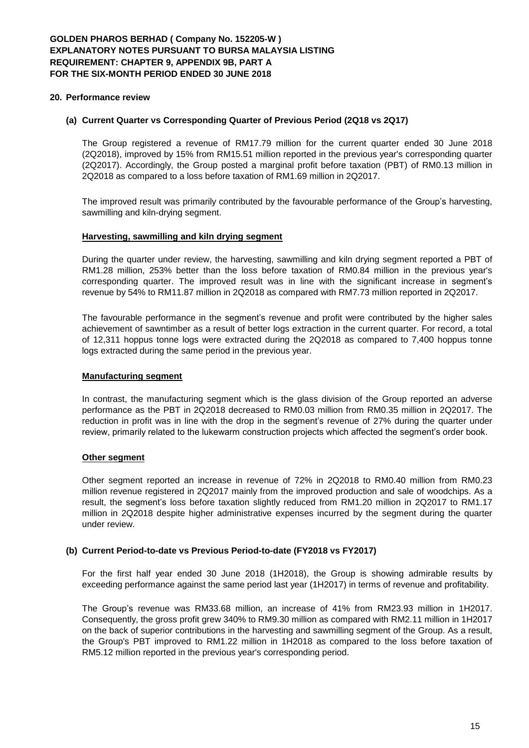#### **20. Performance review**

#### **(a) Current Quarter vs Corresponding Quarter of Previous Period (2Q18 vs 2Q17)**

The Group registered a revenue of RM17.79 million for the current quarter ended 30 June 2018 (2Q2018), improved by 15% from RM15.51 million reported in the previous year's corresponding quarter (2Q2017). Accordingly, the Group posted a marginal profit before taxation (PBT) of RM0.13 million in 2Q2018 as compared to a loss before taxation of RM1.69 million in 2Q2017.

The improved result was primarily contributed by the favourable performance of the Group's harvesting, sawmilling and kiln-drying segment.

#### **Harvesting, sawmilling and kiln drying segment**

During the quarter under review, the harvesting, sawmilling and kiln drying segment reported a PBT of RM1.28 million, 253% better than the loss before taxation of RM0.84 million in the previous year's corresponding quarter. The improved result was in line with the significant increase in segment's revenue by 54% to RM11.87 million in 2Q2018 as compared with RM7.73 million reported in 2Q2017.

The favourable performance in the segment's revenue and profit were contributed by the higher sales achievement of sawntimber as a result of better logs extraction in the current quarter. For record, a total of 12,311 hoppus tonne logs were extracted during the 2Q2018 as compared to 7,400 hoppus tonne logs extracted during the same period in the previous year.

#### **Manufacturing segment**

In contrast, the manufacturing segment which is the glass division of the Group reported an adverse performance as the PBT in 2Q2018 decreased to RM0.03 million from RM0.35 million in 2Q2017. The reduction in profit was in line with the drop in the segment's revenue of 27% during the quarter under review, primarily related to the lukewarm construction projects which affected the segment's order book.

### **Other segment**

Other segment reported an increase in revenue of 72% in 2Q2018 to RM0.40 million from RM0.23 million revenue registered in 2Q2017 mainly from the improved production and sale of woodchips. As a result, the segment's loss before taxation slightly reduced from RM1.20 million in 2Q2017 to RM1.17 million in 2Q2018 despite higher administrative expenses incurred by the segment during the quarter under review.

### **(b) Current Period-to-date vs Previous Period-to-date (FY2018 vs FY2017)**

For the first half year ended 30 June 2018 (1H2018), the Group is showing admirable results by exceeding performance against the same period last year (1H2017) in terms of revenue and profitability.

The Group's revenue was RM33.68 million, an increase of 41% from RM23.93 million in 1H2017. Consequently, the gross profit grew 340% to RM9.30 million as compared with RM2.11 million in 1H2017 on the back of superior contributions in the harvesting and sawmilling segment of the Group. As a result, the Group's PBT improved to RM1.22 million in 1H2018 as compared to the loss before taxation of RM5.12 million reported in the previous year's corresponding period.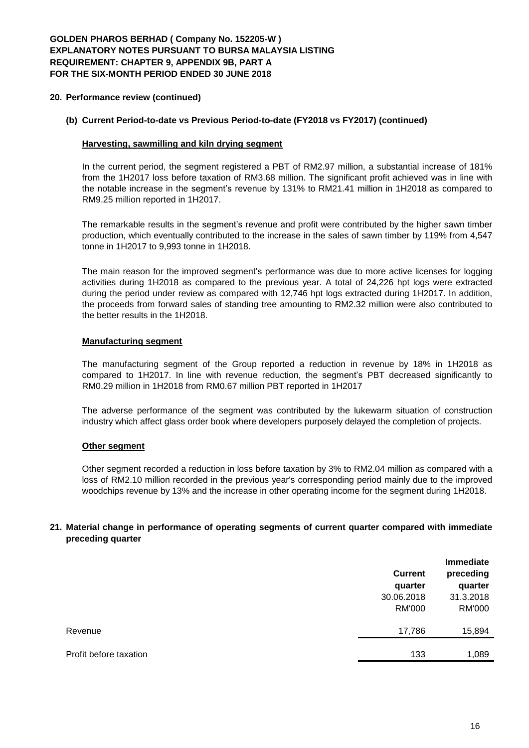# **GOLDEN PHAROS BERHAD ( Company No. 152205-W ) EXPLANATORY NOTES PURSUANT TO BURSA MALAYSIA LISTING REQUIREMENT: CHAPTER 9, APPENDIX 9B, PART A FOR THE SIX-MONTH PERIOD ENDED 30 JUNE 2018**

### **20. Performance review (continued)**

### **(b) Current Period-to-date vs Previous Period-to-date (FY2018 vs FY2017) (continued)**

### **Harvesting, sawmilling and kiln drying segment**

In the current period, the segment registered a PBT of RM2.97 million, a substantial increase of 181% from the 1H2017 loss before taxation of RM3.68 million. The significant profit achieved was in line with the notable increase in the segment's revenue by 131% to RM21.41 million in 1H2018 as compared to RM9.25 million reported in 1H2017.

The remarkable results in the segment's revenue and profit were contributed by the higher sawn timber production, which eventually contributed to the increase in the sales of sawn timber by 119% from 4,547 tonne in 1H2017 to 9,993 tonne in 1H2018.

The main reason for the improved segment's performance was due to more active licenses for logging activities during 1H2018 as compared to the previous year. A total of 24,226 hpt logs were extracted during the period under review as compared with 12,746 hpt logs extracted during 1H2017. In addition, the proceeds from forward sales of standing tree amounting to RM2.32 million were also contributed to the better results in the 1H2018.

#### **Manufacturing segment**

The manufacturing segment of the Group reported a reduction in revenue by 18% in 1H2018 as compared to 1H2017. In line with revenue reduction, the segment's PBT decreased significantly to RM0.29 million in 1H2018 from RM0.67 million PBT reported in 1H2017

The adverse performance of the segment was contributed by the lukewarm situation of construction industry which affect glass order book where developers purposely delayed the completion of projects.

### **Other segment**

Other segment recorded a reduction in loss before taxation by 3% to RM2.04 million as compared with a loss of RM2.10 million recorded in the previous year's corresponding period mainly due to the improved woodchips revenue by 13% and the increase in other operating income for the segment during 1H2018.

### **21. Material change in performance of operating segments of current quarter compared with immediate preceding quarter**

|                        | <b>Immediate</b> |               |  |
|------------------------|------------------|---------------|--|
|                        | <b>Current</b>   | preceding     |  |
|                        | quarter          | quarter       |  |
|                        | 30.06.2018       | 31.3.2018     |  |
|                        | <b>RM'000</b>    | <b>RM'000</b> |  |
| Revenue                | 17,786           | 15,894        |  |
|                        |                  |               |  |
| Profit before taxation | 133              | 1,089         |  |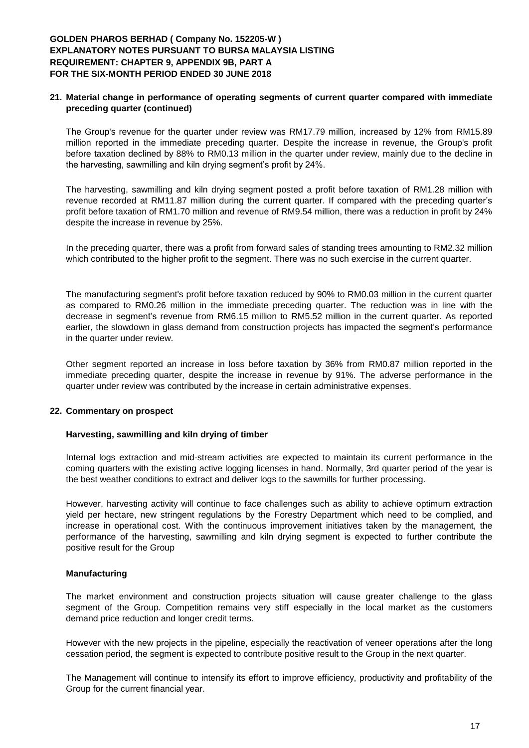## **GOLDEN PHAROS BERHAD ( Company No. 152205-W ) EXPLANATORY NOTES PURSUANT TO BURSA MALAYSIA LISTING REQUIREMENT: CHAPTER 9, APPENDIX 9B, PART A FOR THE SIX-MONTH PERIOD ENDED 30 JUNE 2018**

### **21. Material change in performance of operating segments of current quarter compared with immediate preceding quarter (continued)**

The Group's revenue for the quarter under review was RM17.79 million, increased by 12% from RM15.89 million reported in the immediate preceding quarter. Despite the increase in revenue, the Group's profit before taxation declined by 88% to RM0.13 million in the quarter under review, mainly due to the decline in the harvesting, sawmilling and kiln drying segment's profit by 24%.

The harvesting, sawmilling and kiln drying segment posted a profit before taxation of RM1.28 million with revenue recorded at RM11.87 million during the current quarter. If compared with the preceding quarter's profit before taxation of RM1.70 million and revenue of RM9.54 million, there was a reduction in profit by 24% despite the increase in revenue by 25%.

In the preceding quarter, there was a profit from forward sales of standing trees amounting to RM2.32 million which contributed to the higher profit to the segment. There was no such exercise in the current quarter.

The manufacturing segment's profit before taxation reduced by 90% to RM0.03 million in the current quarter as compared to RM0.26 million in the immediate preceding quarter. The reduction was in line with the decrease in segment's revenue from RM6.15 million to RM5.52 million in the current quarter. As reported earlier, the slowdown in glass demand from construction projects has impacted the segment's performance in the quarter under review.

Other segment reported an increase in loss before taxation by 36% from RM0.87 million reported in the immediate preceding quarter, despite the increase in revenue by 91%. The adverse performance in the quarter under review was contributed by the increase in certain administrative expenses.

### **22. Commentary on prospect**

#### **Harvesting, sawmilling and kiln drying of timber**

Internal logs extraction and mid-stream activities are expected to maintain its current performance in the coming quarters with the existing active logging licenses in hand. Normally, 3rd quarter period of the year is the best weather conditions to extract and deliver logs to the sawmills for further processing.

However, harvesting activity will continue to face challenges such as ability to achieve optimum extraction yield per hectare, new stringent regulations by the Forestry Department which need to be complied, and increase in operational cost. With the continuous improvement initiatives taken by the management, the performance of the harvesting, sawmilling and kiln drying segment is expected to further contribute the positive result for the Group

### **Manufacturing**

The market environment and construction projects situation will cause greater challenge to the glass segment of the Group. Competition remains very stiff especially in the local market as the customers demand price reduction and longer credit terms.

However with the new projects in the pipeline, especially the reactivation of veneer operations after the long cessation period, the segment is expected to contribute positive result to the Group in the next quarter.

The Management will continue to intensify its effort to improve efficiency, productivity and profitability of the Group for the current financial year.